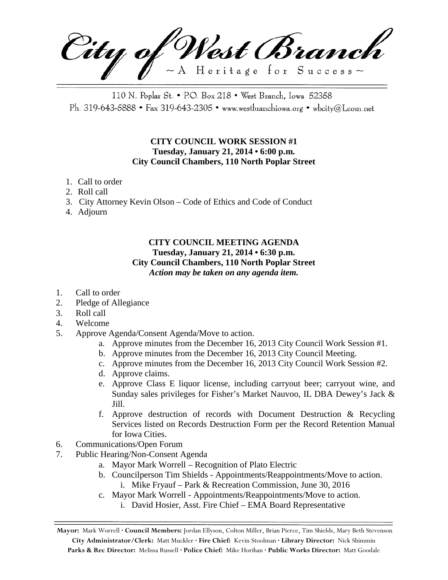City of West Branch  $\sim$  A Heritage for Success $\sim$ 

110 N. Poplar St. • P.O. Box 218 • West Branch, Iowa 52358 Ph. 319-643-5888 • Fax 319-643-2305 • www.westbranchiowa.org • wbcity@Lcom.net

## **CITY COUNCIL WORK SESSION #1 Tuesday, January 21, 2014 • 6:00 p.m. City Council Chambers, 110 North Poplar Street**

- 1. Call to order
- 2. Roll call
- 3. City Attorney Kevin Olson Code of Ethics and Code of Conduct
- 4. Adjourn

## **CITY COUNCIL MEETING AGENDA Tuesday, January 21, 2014 • 6:30 p.m. City Council Chambers, 110 North Poplar Street** *Action may be taken on any agenda item.*

- 1. Call to order
- 2. Pledge of Allegiance
- 3. Roll call
- 4. Welcome
- 5. Approve Agenda/Consent Agenda/Move to action.
	- a. Approve minutes from the December 16, 2013 City Council Work Session #1.
	- b. Approve minutes from the December 16, 2013 City Council Meeting.
	- c. Approve minutes from the December 16, 2013 City Council Work Session #2.
	- d. Approve claims.
	- e. Approve Class E liquor license, including carryout beer; carryout wine, and Sunday sales privileges for Fisher's Market Nauvoo, IL DBA Dewey's Jack & Jill.
	- f. Approve destruction of records with Document Destruction & Recycling Services listed on Records Destruction Form per the Record Retention Manual for Iowa Cities.
- 6. Communications/Open Forum
- 7. Public Hearing/Non-Consent Agenda
	- a. Mayor Mark Worrell Recognition of Plato Electric
	- b. Councilperson Tim Shields Appointments/Reappointments/Move to action. i. Mike Fryauf – Park & Recreation Commission, June 30, 2016
	- c. Mayor Mark Worrell Appointments/Reappointments/Move to action.
		- i. David Hosier, Asst. Fire Chief EMA Board Representative

**Mayor:** Mark Worrell **· Council Members:** Jordan Ellyson, Colton Miller, Brian Pierce, Tim Shields, Mary Beth Stevenson **City Administrator/Clerk:** Matt Muckler **· Fire Chief:** Kevin Stoolman **· Library Director:** Nick Shimmin **Parks & Rec Director:** Melissa Russell **· Police Chief:** Mike Horihan **· Public Works Director:** Matt Goodale